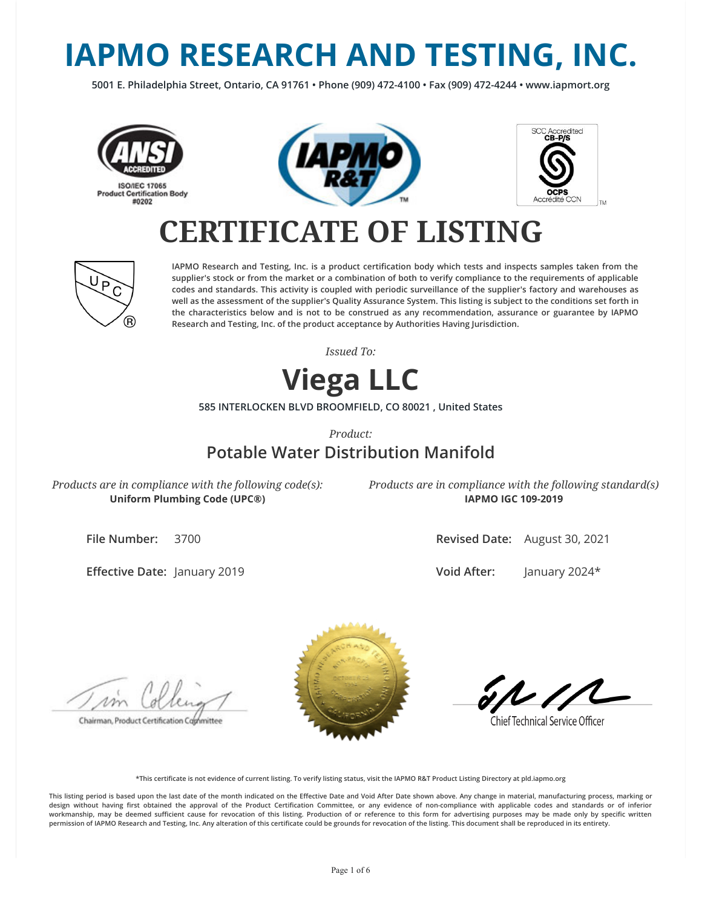# **IAPMO RESEARCH AND TESTING, INC.**

**5001 E. Philadelphia Street, Ontario, CA 91761 • Phone (909) 472-4100 • Fax (909) 472-4244 • www.iapmort.org**







## **CERTIFICATE OF LISTING**



**IAPMO Research and Testing, Inc. is a product certication body which tests and inspects samples taken from the supplier's stock or from the market or a combination of both to verify compliance to the requirements of applicable codes and standards. This activity is coupled with periodic surveillance of the supplier's factory and warehouses as well as the assessment of the supplier's Quality Assurance System. This listing is subject to the conditions set forth in the characteristics below and is not to be construed as any recommendation, assurance or guarantee by IAPMO Research and Testing, Inc. of the product acceptance by Authorities Having Jurisdiction.**

*Issued To:*

### **Viega LLC**

**585 INTERLOCKEN BLVD BROOMFIELD, CO 80021 , United States**

*Product:*

### **Potable Water Distribution Manifold**

*Products are in compliance with the following code(s):* **Uniform Plumbing Code (UPC®)**

*Products are in compliance with the following standard(s)* **IAPMO IGC 109-2019**

**File Number:** 3700

**Effective Date: January 2019** 

**Revised Date:** August 30, 2021

**Void After:** January 2024\*

Chairman, Product Certification Committee



**Chief Technical Service Officer** 

**\*This certicate is not evidence of current listing. To verify listing status, visit the IAPMO R&T Product Listing Directory at pld.iapmo.org**

This listing period is based upon the last date of the month indicated on the Effective Date and Void After Date shown above. Any change in material, manufacturing process, marking or design without having first obtained the approval of the Product Certification Committee, or any evidence of non-compliance with applicable codes and standards or of inferior workmanship, may be deemed sufficient cause for revocation of this listing. Production of or reference to this form for advertising purposes may be made only by specific written **permission of IAPMO Research and Testing, Inc. Any alteration of this certicate could be grounds for revocation of the listing. This document shall be reproduced in its entirety.**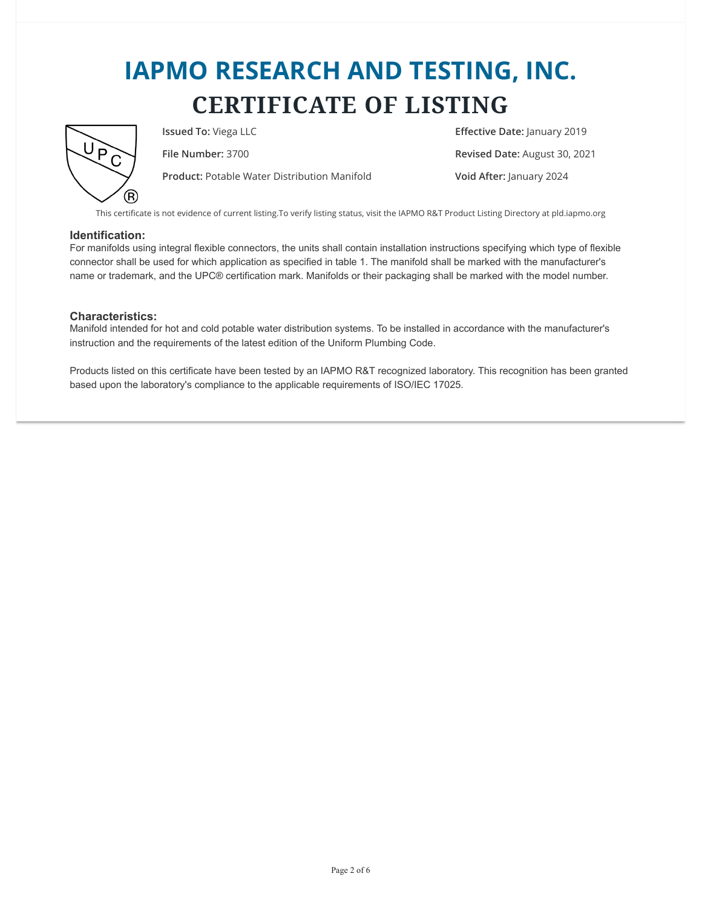

**Product:** Potable Water Distribution Manifold **Void After:** January 2024

**Issued To:** Viega LLC **E**ffective Date: January 2019 **File Number:** 3700 **Revised Date:** August 30, 2021

This certificate is not evidence of current listing.To verify listing status, visit the IAPMO R&T Product Listing Directory at pld.iapmo.org

#### **Identification:**

For manifolds using integral flexible connectors, the units shall contain installation instructions specifying which type of flexible connector shall be used for which application as specified in table 1. The manifold shall be marked with the manufacturer's name or trademark, and the UPC® certification mark. Manifolds or their packaging shall be marked with the model number.

#### **Characteristics:**

Manifold intended for hot and cold potable water distribution systems. To be installed in accordance with the manufacturer's instruction and the requirements of the latest edition of the Uniform Plumbing Code.

Products listed on this certificate have been tested by an IAPMO R&T recognized laboratory. This recognition has been granted based upon the laboratory's compliance to the applicable requirements of ISO/IEC 17025.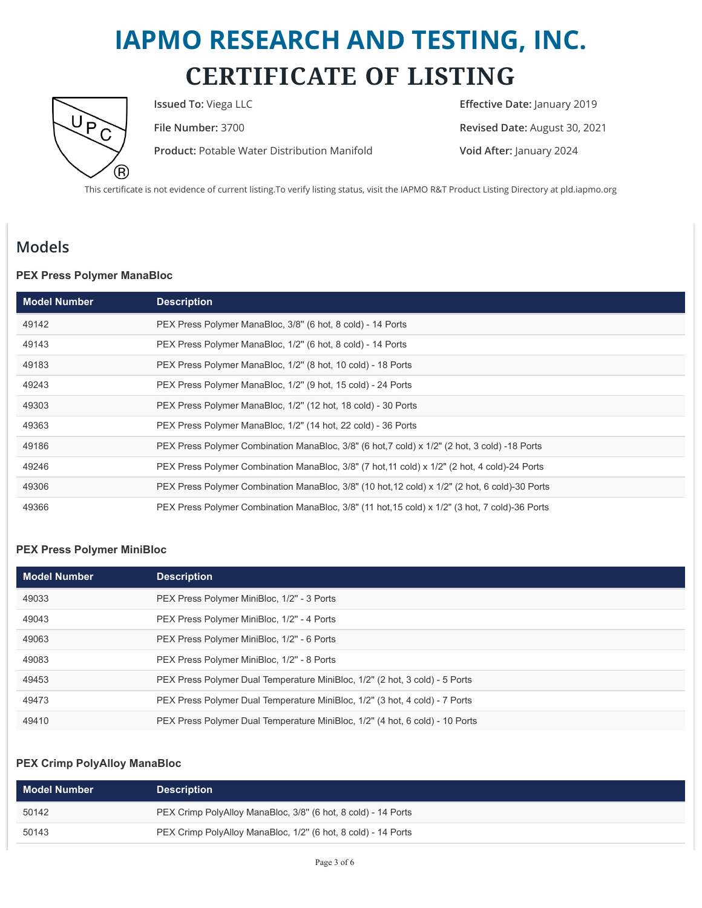

**Product:** Potable Water Distribution Manifold **Void After:** January 2024

**Issued To:** Viega LLC **Internal Contract Contract Contract Contract Contract Contract Contract Contract Contract Contract Contract Contract Contract Contract Contract Contract Contract Contract Contract Contract Contract File Number:** 3700 **Revised Date:** August 30, 2021

This certificate is not evidence of current listing.To verify listing status, visit the IAPMO R&T Product Listing Directory at pld.iapmo.org

### **Models**

#### **PEX Press Polymer ManaBloc**

| <b>Model Number</b> | <b>Description</b>                                                                             |
|---------------------|------------------------------------------------------------------------------------------------|
| 49142               | PEX Press Polymer ManaBloc, 3/8" (6 hot, 8 cold) - 14 Ports                                    |
| 49143               | PEX Press Polymer ManaBloc, 1/2" (6 hot, 8 cold) - 14 Ports                                    |
| 49183               | PEX Press Polymer ManaBloc, 1/2" (8 hot, 10 cold) - 18 Ports                                   |
| 49243               | PEX Press Polymer ManaBloc, 1/2" (9 hot, 15 cold) - 24 Ports                                   |
| 49303               | PEX Press Polymer ManaBloc, 1/2" (12 hot, 18 cold) - 30 Ports                                  |
| 49363               | PEX Press Polymer ManaBloc, 1/2" (14 hot, 22 cold) - 36 Ports                                  |
| 49186               | PEX Press Polymer Combination ManaBloc, 3/8" (6 hot, 7 cold) x 1/2" (2 hot, 3 cold) -18 Ports  |
| 49246               | PEX Press Polymer Combination ManaBloc, 3/8" (7 hot, 11 cold) x 1/2" (2 hot, 4 cold)-24 Ports  |
| 49306               | PEX Press Polymer Combination ManaBloc, 3/8" (10 hot, 12 cold) x 1/2" (2 hot, 6 cold)-30 Ports |
| 49366               | PEX Press Polymer Combination ManaBloc, 3/8" (11 hot, 15 cold) x 1/2" (3 hot, 7 cold)-36 Ports |

#### **PEX Press Polymer MiniBloc**

| <b>Model Number</b> | <b>Description</b>                                                           |
|---------------------|------------------------------------------------------------------------------|
| 49033               | PEX Press Polymer MiniBloc, 1/2" - 3 Ports                                   |
| 49043               | PEX Press Polymer MiniBloc, 1/2" - 4 Ports                                   |
| 49063               | PEX Press Polymer MiniBloc, 1/2" - 6 Ports                                   |
| 49083               | PEX Press Polymer MiniBloc, 1/2" - 8 Ports                                   |
| 49453               | PEX Press Polymer Dual Temperature MiniBloc, 1/2" (2 hot, 3 cold) - 5 Ports  |
| 49473               | PEX Press Polymer Dual Temperature MiniBloc, 1/2" (3 hot, 4 cold) - 7 Ports  |
| 49410               | PEX Press Polymer Dual Temperature MiniBloc, 1/2" (4 hot, 6 cold) - 10 Ports |

#### **PEX Crimp PolyAlloy ManaBloc**

| <b>Model Number</b> | <b>Description</b>                                            |
|---------------------|---------------------------------------------------------------|
| 50142               | PEX Crimp PolyAlloy ManaBloc, 3/8" (6 hot, 8 cold) - 14 Ports |
| 50143               | PEX Crimp PolyAlloy ManaBloc, 1/2" (6 hot, 8 cold) - 14 Ports |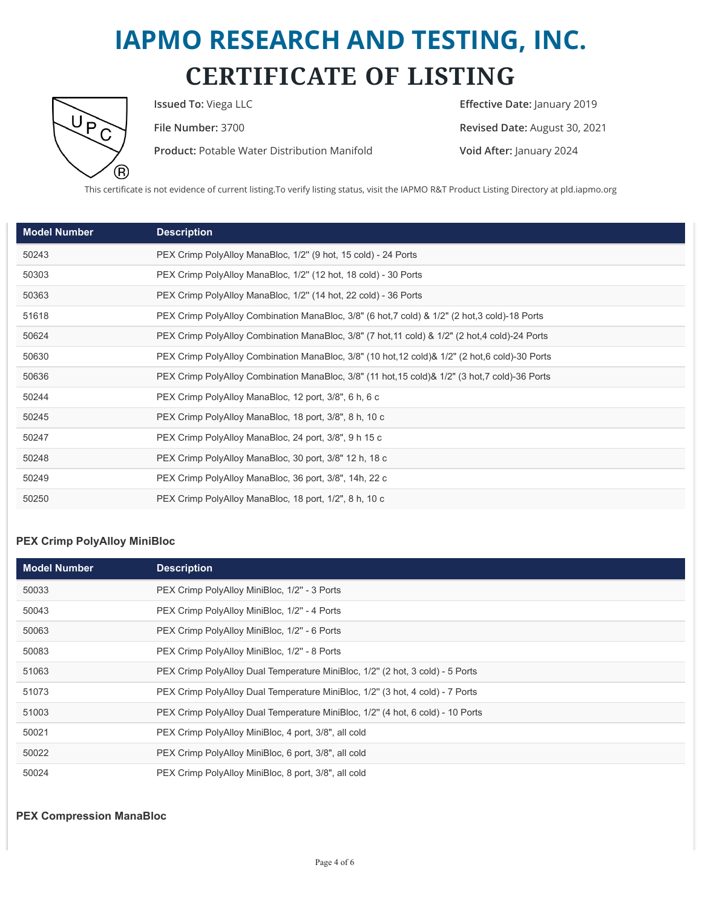

**Product:** Potable Water Distribution Manifold **Void After:** January 2024

**Issued To:** Viega LLC **Internal Contract Contract Contract Contract Contract Contract Contract Contract Contract Contract Contract Contract Contract Contract Contract Contract Contract Contract Contract Contract Contract File Number:** 3700 **Revised Date:** August 30, 2021

This certificate is not evidence of current listing.To verify listing status, visit the IAPMO R&T Product Listing Directory at pld.iapmo.org

| <b>Model Number</b> | <b>Description</b>                                                                              |
|---------------------|-------------------------------------------------------------------------------------------------|
| 50243               | PEX Crimp PolyAlloy ManaBloc, 1/2" (9 hot, 15 cold) - 24 Ports                                  |
| 50303               | PEX Crimp PolyAlloy ManaBloc, 1/2" (12 hot, 18 cold) - 30 Ports                                 |
| 50363               | PEX Crimp PolyAlloy ManaBloc, 1/2" (14 hot, 22 cold) - 36 Ports                                 |
| 51618               | PEX Crimp PolyAlloy Combination ManaBloc, 3/8" (6 hot, 7 cold) & 1/2" (2 hot, 3 cold)-18 Ports  |
| 50624               | PEX Crimp PolyAlloy Combination ManaBloc, 3/8" (7 hot, 11 cold) & 1/2" (2 hot, 4 cold)-24 Ports |
| 50630               | PEX Crimp PolyAlloy Combination ManaBloc, 3/8" (10 hot, 12 cold)& 1/2" (2 hot, 6 cold)-30 Ports |
| 50636               | PEX Crimp PolyAlloy Combination ManaBloc, 3/8" (11 hot, 15 cold)& 1/2" (3 hot, 7 cold)-36 Ports |
| 50244               | PEX Crimp PolyAlloy ManaBloc, 12 port, 3/8", 6 h, 6 c                                           |
| 50245               | PEX Crimp PolyAlloy ManaBloc, 18 port, 3/8", 8 h, 10 c                                          |
| 50247               | PEX Crimp PolyAlloy ManaBloc, 24 port, 3/8", 9 h 15 c                                           |
| 50248               | PEX Crimp PolyAlloy ManaBloc, 30 port, 3/8" 12 h, 18 c                                          |
| 50249               | PEX Crimp PolyAlloy ManaBloc, 36 port, 3/8", 14h, 22 c                                          |
| 50250               | PEX Crimp PolyAlloy ManaBloc, 18 port, 1/2", 8 h, 10 c                                          |

#### **PEX Crimp PolyAlloy MiniBloc**

| <b>Model Number</b> | <b>Description</b>                                                             |
|---------------------|--------------------------------------------------------------------------------|
| 50033               | PEX Crimp PolyAlloy MiniBloc, 1/2" - 3 Ports                                   |
| 50043               | PEX Crimp PolyAlloy MiniBloc, 1/2" - 4 Ports                                   |
| 50063               | PEX Crimp PolyAlloy MiniBloc, 1/2" - 6 Ports                                   |
| 50083               | PEX Crimp PolyAlloy MiniBloc, 1/2" - 8 Ports                                   |
| 51063               | PEX Crimp PolyAlloy Dual Temperature MiniBloc, 1/2" (2 hot, 3 cold) - 5 Ports  |
| 51073               | PEX Crimp PolyAlloy Dual Temperature MiniBloc, 1/2" (3 hot, 4 cold) - 7 Ports  |
| 51003               | PEX Crimp PolyAlloy Dual Temperature MiniBloc, 1/2" (4 hot, 6 cold) - 10 Ports |
| 50021               | PEX Crimp PolyAlloy MiniBloc, 4 port, 3/8", all cold                           |
| 50022               | PEX Crimp PolyAlloy MiniBloc, 6 port, 3/8", all cold                           |
| 50024               | PEX Crimp PolyAlloy MiniBloc, 8 port, 3/8", all cold                           |

**PEX Compression ManaBloc**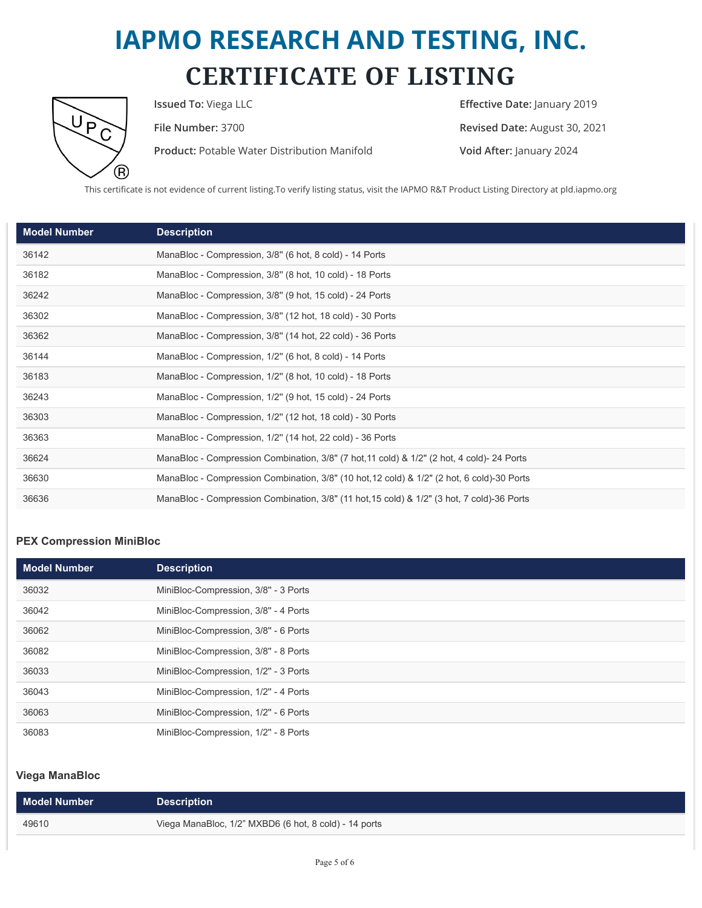

**Product:** Potable Water Distribution Manifold **Void After:** January 2024

**Issued To:** Viega LLC **Intervalse Contract Contract Contract Contract Contract Contract Contract Contract Contract Contract Contract Contract Contract Contract Contract Contract Contract Contract Contract Contract Contrac File Number:** 3700 **Revised Date:** August 30, 2021

This certificate is not evidence of current listing.To verify listing status, visit the IAPMO R&T Product Listing Directory at pld.iapmo.org

| <b>Model Number</b> | <b>Description</b>                                                                          |
|---------------------|---------------------------------------------------------------------------------------------|
| 36142               | ManaBloc - Compression, 3/8" (6 hot, 8 cold) - 14 Ports                                     |
| 36182               | ManaBloc - Compression, 3/8" (8 hot, 10 cold) - 18 Ports                                    |
| 36242               | ManaBloc - Compression, 3/8" (9 hot, 15 cold) - 24 Ports                                    |
| 36302               | ManaBloc - Compression, 3/8" (12 hot, 18 cold) - 30 Ports                                   |
| 36362               | ManaBloc - Compression, 3/8" (14 hot, 22 cold) - 36 Ports                                   |
| 36144               | ManaBloc - Compression, 1/2" (6 hot, 8 cold) - 14 Ports                                     |
| 36183               | ManaBloc - Compression, 1/2" (8 hot, 10 cold) - 18 Ports                                    |
| 36243               | ManaBloc - Compression, 1/2" (9 hot, 15 cold) - 24 Ports                                    |
| 36303               | ManaBloc - Compression, 1/2" (12 hot, 18 cold) - 30 Ports                                   |
| 36363               | ManaBloc - Compression, 1/2" (14 hot, 22 cold) - 36 Ports                                   |
| 36624               | ManaBloc - Compression Combination, 3/8" (7 hot, 11 cold) & 1/2" (2 hot, 4 cold) - 24 Ports |
| 36630               | ManaBloc - Compression Combination, 3/8" (10 hot, 12 cold) & 1/2" (2 hot, 6 cold)-30 Ports  |
| 36636               | ManaBloc - Compression Combination, 3/8" (11 hot, 15 cold) & 1/2" (3 hot, 7 cold)-36 Ports  |

#### **PEX Compression MiniBloc**

| <b>Model Number</b> | <b>Description</b>                   |
|---------------------|--------------------------------------|
| 36032               | MiniBloc-Compression, 3/8" - 3 Ports |
| 36042               | MiniBloc-Compression, 3/8" - 4 Ports |
| 36062               | MiniBloc-Compression, 3/8" - 6 Ports |
| 36082               | MiniBloc-Compression, 3/8" - 8 Ports |
| 36033               | MiniBloc-Compression, 1/2" - 3 Ports |
| 36043               | MiniBloc-Compression, 1/2" - 4 Ports |
| 36063               | MiniBloc-Compression, 1/2" - 6 Ports |
| 36083               | MiniBloc-Compression, 1/2" - 8 Ports |

#### **Viega ManaBloc**

| Model Number | <b>Description</b>                                    |
|--------------|-------------------------------------------------------|
| 49610        | Viega ManaBloc, 1/2" MXBD6 (6 hot, 8 cold) - 14 ports |